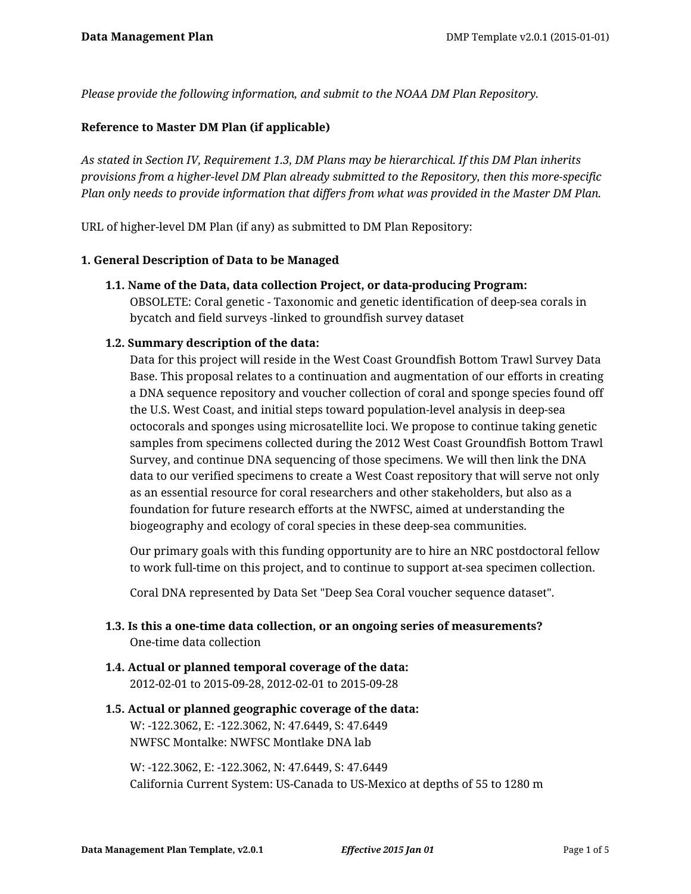*Please provide the following information, and submit to the NOAA DM Plan Repository.*

## **Reference to Master DM Plan (if applicable)**

*As stated in Section IV, Requirement 1.3, DM Plans may be hierarchical. If this DM Plan inherits provisions from a higher-level DM Plan already submitted to the Repository, then this more-specific Plan only needs to provide information that differs from what was provided in the Master DM Plan.*

URL of higher-level DM Plan (if any) as submitted to DM Plan Repository:

#### **1. General Description of Data to be Managed**

**1.1. Name of the Data, data collection Project, or data-producing Program:**

OBSOLETE: Coral genetic - Taxonomic and genetic identification of deep-sea corals in bycatch and field surveys -linked to groundfish survey dataset

### **1.2. Summary description of the data:**

Data for this project will reside in the West Coast Groundfish Bottom Trawl Survey Data Base. This proposal relates to a continuation and augmentation of our efforts in creating a DNA sequence repository and voucher collection of coral and sponge species found off the U.S. West Coast, and initial steps toward population-level analysis in deep-sea octocorals and sponges using microsatellite loci. We propose to continue taking genetic samples from specimens collected during the 2012 West Coast Groundfish Bottom Trawl Survey, and continue DNA sequencing of those specimens. We will then link the DNA data to our verified specimens to create a West Coast repository that will serve not only as an essential resource for coral researchers and other stakeholders, but also as a foundation for future research efforts at the NWFSC, aimed at understanding the biogeography and ecology of coral species in these deep-sea communities.

Our primary goals with this funding opportunity are to hire an NRC postdoctoral fellow to work full-time on this project, and to continue to support at-sea specimen collection.

Coral DNA represented by Data Set "Deep Sea Coral voucher sequence dataset".

- **1.3. Is this a one-time data collection, or an ongoing series of measurements?** One-time data collection
- **1.4. Actual or planned temporal coverage of the data:** 2012-02-01 to 2015-09-28, 2012-02-01 to 2015-09-28

# **1.5. Actual or planned geographic coverage of the data:** W: -122.3062, E: -122.3062, N: 47.6449, S: 47.6449

NWFSC Montalke: NWFSC Montlake DNA lab

W: -122.3062, E: -122.3062, N: 47.6449, S: 47.6449 California Current System: US-Canada to US-Mexico at depths of 55 to 1280 m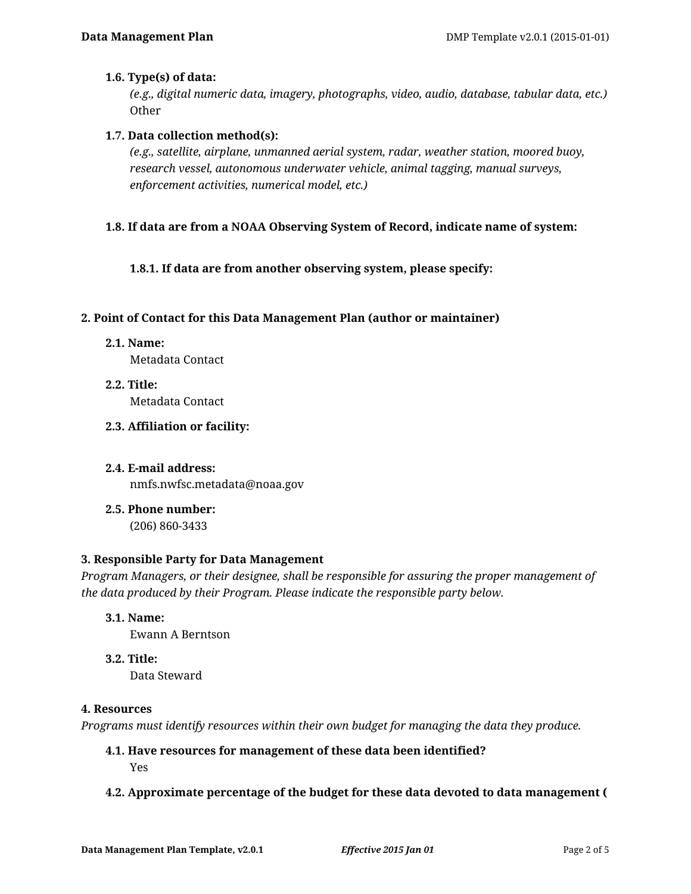## **1.6. Type(s) of data:**

*(e.g., digital numeric data, imagery, photographs, video, audio, database, tabular data, etc.)* **Other** 

### **1.7. Data collection method(s):**

*(e.g., satellite, airplane, unmanned aerial system, radar, weather station, moored buoy, research vessel, autonomous underwater vehicle, animal tagging, manual surveys, enforcement activities, numerical model, etc.)*

## **1.8. If data are from a NOAA Observing System of Record, indicate name of system:**

**1.8.1. If data are from another observing system, please specify:**

#### **2. Point of Contact for this Data Management Plan (author or maintainer)**

**2.1. Name:**

Metadata Contact

- **2.2. Title:** Metadata Contact
- **2.3. Affiliation or facility:**

# **2.4. E-mail address:** nmfs.nwfsc.metadata@noaa.gov

**2.5. Phone number:** (206) 860-3433

#### **3. Responsible Party for Data Management**

*Program Managers, or their designee, shall be responsible for assuring the proper management of the data produced by their Program. Please indicate the responsible party below.*

**3.1. Name:**

Ewann A Berntson

**3.2. Title:**

Data Steward

#### **4. Resources**

*Programs must identify resources within their own budget for managing the data they produce.*

# **4.1. Have resources for management of these data been identified?**

Yes

#### **4.2. Approximate percentage of the budget for these data devoted to data management (**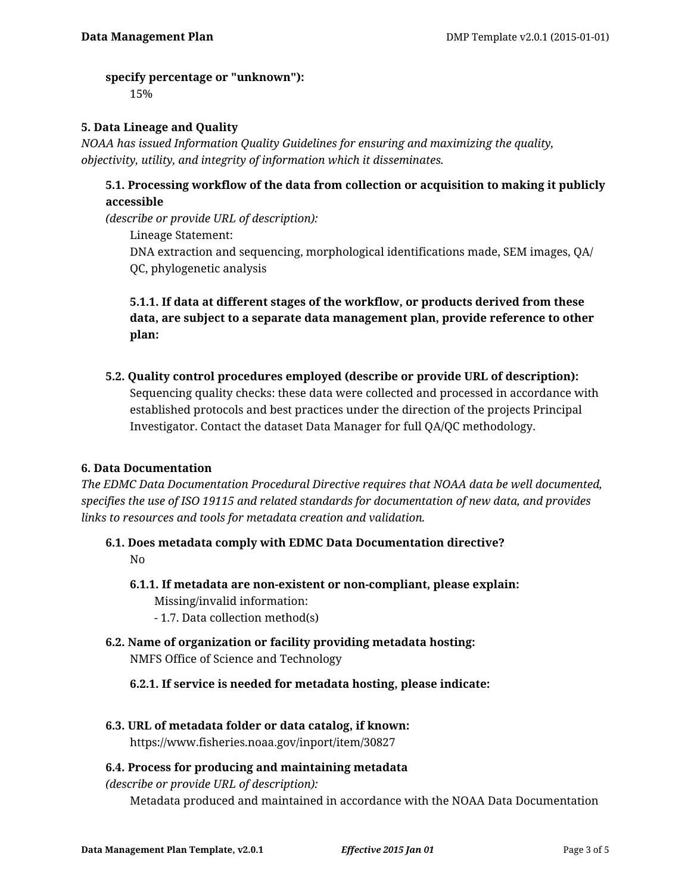### **specify percentage or "unknown"):**

15%

# **5. Data Lineage and Quality**

*NOAA has issued Information Quality Guidelines for ensuring and maximizing the quality, objectivity, utility, and integrity of information which it disseminates.*

# **5.1. Processing workflow of the data from collection or acquisition to making it publicly accessible**

*(describe or provide URL of description):*

Lineage Statement: DNA extraction and sequencing, morphological identifications made, SEM images, QA/ QC, phylogenetic analysis

# **5.1.1. If data at different stages of the workflow, or products derived from these data, are subject to a separate data management plan, provide reference to other plan:**

**5.2. Quality control procedures employed (describe or provide URL of description):** Sequencing quality checks: these data were collected and processed in accordance with established protocols and best practices under the direction of the projects Principal Investigator. Contact the dataset Data Manager for full QA/QC methodology.

# **6. Data Documentation**

*The EDMC Data Documentation Procedural Directive requires that NOAA data be well documented, specifies the use of ISO 19115 and related standards for documentation of new data, and provides links to resources and tools for metadata creation and validation.*

- **6.1. Does metadata comply with EDMC Data Documentation directive?** No
	- **6.1.1. If metadata are non-existent or non-compliant, please explain:** Missing/invalid information:
		- 1.7. Data collection method(s)
- **6.2. Name of organization or facility providing metadata hosting:** NMFS Office of Science and Technology
	- **6.2.1. If service is needed for metadata hosting, please indicate:**
- **6.3. URL of metadata folder or data catalog, if known:** https://www.fisheries.noaa.gov/inport/item/30827

# **6.4. Process for producing and maintaining metadata**

*(describe or provide URL of description):* Metadata produced and maintained in accordance with the NOAA Data Documentation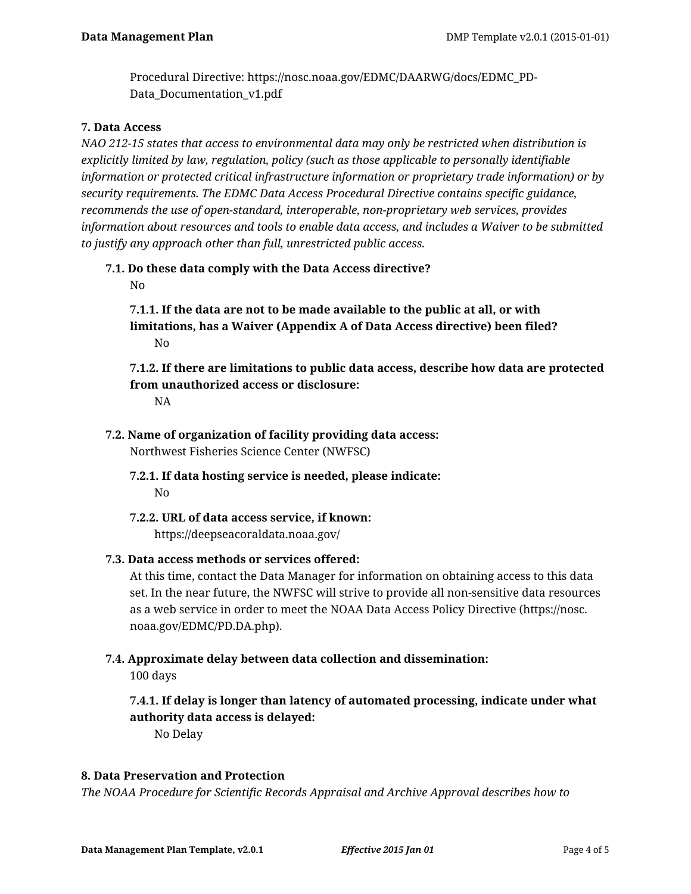Procedural Directive: https://nosc.noaa.gov/EDMC/DAARWG/docs/EDMC\_PD-Data\_Documentation\_v1.pdf

## **7. Data Access**

*NAO 212-15 states that access to environmental data may only be restricted when distribution is explicitly limited by law, regulation, policy (such as those applicable to personally identifiable information or protected critical infrastructure information or proprietary trade information) or by security requirements. The EDMC Data Access Procedural Directive contains specific guidance, recommends the use of open-standard, interoperable, non-proprietary web services, provides information about resources and tools to enable data access, and includes a Waiver to be submitted to justify any approach other than full, unrestricted public access.*

# **7.1. Do these data comply with the Data Access directive?**

No

**7.1.1. If the data are not to be made available to the public at all, or with limitations, has a Waiver (Appendix A of Data Access directive) been filed?** No

# **7.1.2. If there are limitations to public data access, describe how data are protected from unauthorized access or disclosure:**

NA

- **7.2. Name of organization of facility providing data access:** Northwest Fisheries Science Center (NWFSC)
	- **7.2.1. If data hosting service is needed, please indicate:** No
	- **7.2.2. URL of data access service, if known:** https://deepseacoraldata.noaa.gov/

# **7.3. Data access methods or services offered:**

At this time, contact the Data Manager for information on obtaining access to this data set. In the near future, the NWFSC will strive to provide all non-sensitive data resources as a web service in order to meet the NOAA Data Access Policy Directive (https://nosc. noaa.gov/EDMC/PD.DA.php).

# **7.4. Approximate delay between data collection and dissemination:**

100 days

# **7.4.1. If delay is longer than latency of automated processing, indicate under what authority data access is delayed:**

No Delay

# **8. Data Preservation and Protection**

*The NOAA Procedure for Scientific Records Appraisal and Archive Approval describes how to*